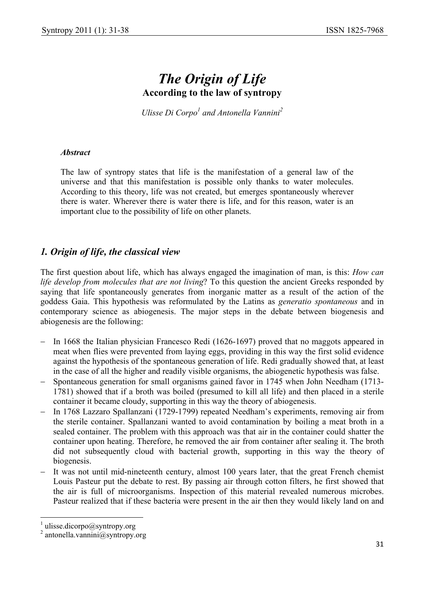# *The Origin of Life*  **According to the law of syntropy**

*Ulisse Di Corpo<sup>1</sup> and Antonella Vannini<sup>2</sup>* 

#### *Abstract*

The law of syntropy states that life is the manifestation of a general law of the universe and that this manifestation is possible only thanks to water molecules. According to this theory, life was not created, but emerges spontaneously wherever there is water. Wherever there is water there is life, and for this reason, water is an important clue to the possibility of life on other planets.

### *1. Origin of life, the classical view*

The first question about life, which has always engaged the imagination of man, is this: *How can life develop from molecules that are not living*? To this question the ancient Greeks responded by saying that life spontaneously generates from inorganic matter as a result of the action of the goddess Gaia. This hypothesis was reformulated by the Latins as *generatio spontaneous* and in contemporary science as abiogenesis. The major steps in the debate between biogenesis and abiogenesis are the following:

- − In 1668 the Italian physician Francesco Redi (1626-1697) proved that no maggots appeared in meat when flies were prevented from laying eggs, providing in this way the first solid evidence against the hypothesis of the spontaneous generation of life. Redi gradually showed that, at least in the case of all the higher and readily visible organisms, the abiogenetic hypothesis was false.
- − Spontaneous generation for small organisms gained favor in 1745 when John Needham (1713- 1781) showed that if a broth was boiled (presumed to kill all life) and then placed in a sterile container it became cloudy, supporting in this way the theory of abiogenesis.
- − In 1768 Lazzaro Spallanzani (1729-1799) repeated Needham's experiments, removing air from the sterile container. Spallanzani wanted to avoid contamination by boiling a meat broth in a sealed container. The problem with this approach was that air in the container could shatter the container upon heating. Therefore, he removed the air from container after sealing it. The broth did not subsequently cloud with bacterial growth, supporting in this way the theory of biogenesis.
- It was not until mid-nineteenth century, almost 100 years later, that the great French chemist Louis Pasteur put the debate to rest. By passing air through cotton filters, he first showed that the air is full of microorganisms. Inspection of this material revealed numerous microbes. Pasteur realized that if these bacteria were present in the air then they would likely land on and

 $\overline{\phantom{a}}$ 

<sup>1</sup> ulisse.dicorpo@syntropy.org

<sup>2</sup> antonella.vannini@syntropy.org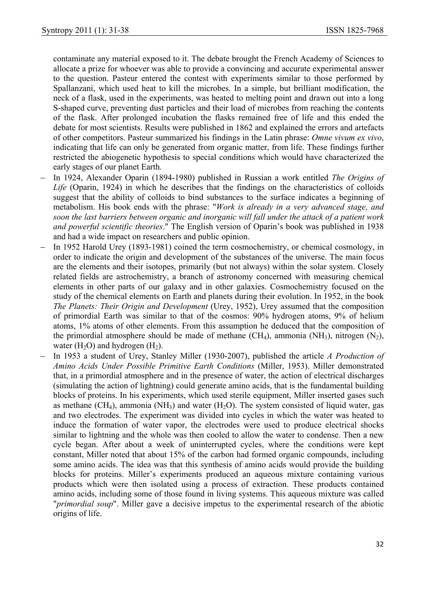contaminate any material exposed to it. The debate brought the French Academy of Sciences to allocate a prize for whoever was able to provide a convincing and accurate experimental answer to the question. Pasteur entered the contest with experiments similar to those performed by Spallanzani, which used heat to kill the microbes. In a simple, but brilliant modification, the neck of a flask, used in the experiments, was heated to melting point and drawn out into a long S-shaped curve, preventing dust particles and their load of microbes from reaching the contents of the flask. After prolonged incubation the flasks remained free of life and this ended the debate for most scientists. Results were published in 1862 and explained the errors and artefacts of other competitors. Pasteur summarized his findings in the Latin phrase: *Omne vivum ex vivo*, indicating that life can only be generated from organic matter, from life. These findings further restricted the abiogenetic hypothesis to special conditions which would have characterized the early stages of our planet Earth.

- − In 1924, Alexander Oparin (1894-1980) published in Russian a work entitled *The Origins of Life* (Oparin, 1924) in which he describes that the findings on the characteristics of colloids suggest that the ability of colloids to bind substances to the surface indicates a beginning of metabolism. His book ends with the phrase: "*Work is already in a very advanced stage, and soon the last barriers between organic and inorganic will fall under the attack of a patient work and powerful scientific theories*." The English version of Oparin's book was published in 1938 and had a wide impact on researchers and public opinion.
- − In 1952 Harold Urey (1893-1981) coined the term cosmochemistry, or chemical cosmology, in order to indicate the origin and development of the substances of the universe. The main focus are the elements and their isotopes, primarily (but not always) within the solar system. Closely related fields are astrochemistry, a branch of astronomy concerned with measuring chemical elements in other parts of our galaxy and in other galaxies. Cosmochemistry focused on the study of the chemical elements on Earth and planets during their evolution. In 1952, in the book *The Planets: Their Origin and Development* (Urey, 1952), Urey assumed that the composition of primordial Earth was similar to that of the cosmos: 90% hydrogen atoms, 9% of helium atoms, 1% atoms of other elements. From this assumption he deduced that the composition of the primordial atmosphere should be made of methane  $(CH_4)$ , ammonia  $(NH_3)$ , nitrogen  $(N_2)$ , water  $(H<sub>2</sub>O)$  and hydrogen  $(H<sub>2</sub>)$ .
- − In 1953 a student of Urey, Stanley Miller (1930-2007), published the article *A Production of Amino Acids Under Possible Primitive Earth Conditions* (Miller, 1953). Miller demonstrated that, in a primordial atmosphere and in the presence of water, the action of electrical discharges (simulating the action of lightning) could generate amino acids, that is the fundamental building blocks of proteins. In his experiments, which used sterile equipment, Miller inserted gases such as methane (CH<sub>4</sub>), ammonia (NH<sub>3</sub>) and water (H<sub>2</sub>O). The system consisted of liquid water, gas and two electrodes. The experiment was divided into cycles in which the water was heated to induce the formation of water vapor, the electrodes were used to produce electrical shocks similar to lightning and the whole was then cooled to allow the water to condense. Then a new cycle began. After about a week of uninterrupted cycles, where the conditions were kept constant, Miller noted that about 15% of the carbon had formed organic compounds, including some amino acids. The idea was that this synthesis of amino acids would provide the building blocks for proteins. Miller's experiments produced an aqueous mixture containing various products which were then isolated using a process of extraction. These products contained amino acids, including some of those found in living systems. This aqueous mixture was called "*primordial soup*". Miller gave a decisive impetus to the experimental research of the abiotic origins of life.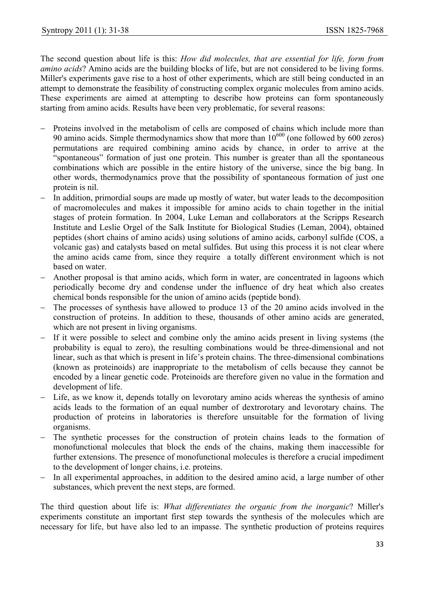The second question about life is this: *How did molecules, that are essential for life, form from amino acids*? Amino acids are the building blocks of life, but are not considered to be living forms. Miller's experiments gave rise to a host of other experiments, which are still being conducted in an attempt to demonstrate the feasibility of constructing complex organic molecules from amino acids. These experiments are aimed at attempting to describe how proteins can form spontaneously starting from amino acids. Results have been very problematic, for several reasons:

- Proteins involved in the metabolism of cells are composed of chains which include more than 90 amino acids. Simple thermodynamics show that more than  $10^{600}$  (one followed by 600 zeros) permutations are required combining amino acids by chance, in order to arrive at the "spontaneous" formation of just one protein. This number is greater than all the spontaneous combinations which are possible in the entire history of the universe, since the big bang. In other words, thermodynamics prove that the possibility of spontaneous formation of just one protein is nil.
- In addition, primordial soups are made up mostly of water, but water leads to the decomposition of macromolecules and makes it impossible for amino acids to chain together in the initial stages of protein formation. In 2004, Luke Leman and collaborators at the Scripps Research Institute and Leslie Orgel of the Salk Institute for Biological Studies (Leman, 2004), obtained peptides (short chains of amino acids) using solutions of amino acids, carbonyl sulfide (COS, a volcanic gas) and catalysts based on metal sulfides. But using this process it is not clear where the amino acids came from, since they require a totally different environment which is not based on water.
- − Another proposal is that amino acids, which form in water, are concentrated in lagoons which periodically become dry and condense under the influence of dry heat which also creates chemical bonds responsible for the union of amino acids (peptide bond).
- The processes of synthesis have allowed to produce 13 of the 20 amino acids involved in the construction of proteins. In addition to these, thousands of other amino acids are generated, which are not present in living organisms.
- If it were possible to select and combine only the amino acids present in living systems (the probability is equal to zero), the resulting combinations would be three-dimensional and not linear, such as that which is present in life's protein chains. The three-dimensional combinations (known as proteinoids) are inappropriate to the metabolism of cells because they cannot be encoded by a linear genetic code. Proteinoids are therefore given no value in the formation and development of life.
- Life, as we know it, depends totally on levorotary amino acids whereas the synthesis of amino acids leads to the formation of an equal number of dextrorotary and levorotary chains. The production of proteins in laboratories is therefore unsuitable for the formation of living organisms.
- − The synthetic processes for the construction of protein chains leads to the formation of monofunctional molecules that block the ends of the chains, making them inaccessible for further extensions. The presence of monofunctional molecules is therefore a crucial impediment to the development of longer chains, i.e. proteins.
- − In all experimental approaches, in addition to the desired amino acid, a large number of other substances, which prevent the next steps, are formed.

The third question about life is: *What differentiates the organic from the inorganic*? Miller's experiments constitute an important first step towards the synthesis of the molecules which are necessary for life, but have also led to an impasse. The synthetic production of proteins requires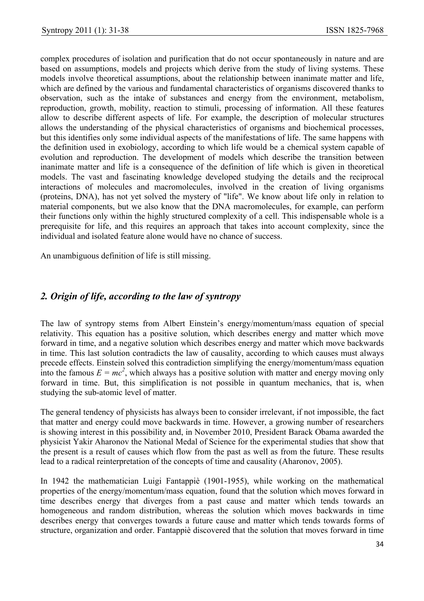complex procedures of isolation and purification that do not occur spontaneously in nature and are based on assumptions, models and projects which derive from the study of living systems. These models involve theoretical assumptions, about the relationship between inanimate matter and life, which are defined by the various and fundamental characteristics of organisms discovered thanks to observation, such as the intake of substances and energy from the environment, metabolism, reproduction, growth, mobility, reaction to stimuli, processing of information. All these features allow to describe different aspects of life. For example, the description of molecular structures allows the understanding of the physical characteristics of organisms and biochemical processes, but this identifies only some individual aspects of the manifestations of life. The same happens with the definition used in exobiology, according to which life would be a chemical system capable of evolution and reproduction. The development of models which describe the transition between inanimate matter and life is a consequence of the definition of life which is given in theoretical models. The vast and fascinating knowledge developed studying the details and the reciprocal interactions of molecules and macromolecules, involved in the creation of living organisms (proteins, DNA), has not yet solved the mystery of "life". We know about life only in relation to material components, but we also know that the DNA macromolecules, for example, can perform their functions only within the highly structured complexity of a cell. This indispensable whole is a prerequisite for life, and this requires an approach that takes into account complexity, since the individual and isolated feature alone would have no chance of success.

An unambiguous definition of life is still missing.

#### *2. Origin of life, according to the law of syntropy*

The law of syntropy stems from Albert Einstein's energy/momentum/mass equation of special relativity. This equation has a positive solution, which describes energy and matter which move forward in time, and a negative solution which describes energy and matter which move backwards in time. This last solution contradicts the law of causality, according to which causes must always precede effects. Einstein solved this contradiction simplifying the energy/momentum/mass equation into the famous  $E = mc^2$ , which always has a positive solution with matter and energy moving only forward in time. But, this simplification is not possible in quantum mechanics, that is, when studying the sub-atomic level of matter.

The general tendency of physicists has always been to consider irrelevant, if not impossible, the fact that matter and energy could move backwards in time. However, a growing number of researchers is showing interest in this possibility and, in November 2010, President Barack Obama awarded the physicist Yakir Aharonov the National Medal of Science for the experimental studies that show that the present is a result of causes which flow from the past as well as from the future. These results lead to a radical reinterpretation of the concepts of time and causality (Aharonov, 2005).

In 1942 the mathematician Luigi Fantappiè (1901-1955), while working on the mathematical properties of the energy/momentum/mass equation, found that the solution which moves forward in time describes energy that diverges from a past cause and matter which tends towards an homogeneous and random distribution, whereas the solution which moves backwards in time describes energy that converges towards a future cause and matter which tends towards forms of structure, organization and order. Fantappiè discovered that the solution that moves forward in time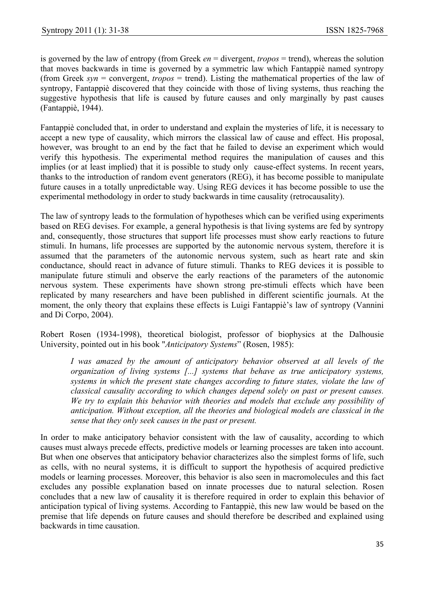is governed by the law of entropy (from Greek *en* = divergent, *tropos* = trend), whereas the solution that moves backwards in time is governed by a symmetric law which Fantappiè named syntropy (from Greek *syn* = convergent, *tropos* = trend). Listing the mathematical properties of the law of syntropy, Fantappiè discovered that they coincide with those of living systems, thus reaching the suggestive hypothesis that life is caused by future causes and only marginally by past causes (Fantappiè, 1944).

Fantappiè concluded that, in order to understand and explain the mysteries of life, it is necessary to accept a new type of causality, which mirrors the classical law of cause and effect. His proposal, however, was brought to an end by the fact that he failed to devise an experiment which would verify this hypothesis. The experimental method requires the manipulation of causes and this implies (or at least implied) that it is possible to study only cause-effect systems. In recent years, thanks to the introduction of random event generators (REG), it has become possible to manipulate future causes in a totally unpredictable way. Using REG devices it has become possible to use the experimental methodology in order to study backwards in time causality (retrocausality).

The law of syntropy leads to the formulation of hypotheses which can be verified using experiments based on REG devises. For example, a general hypothesis is that living systems are fed by syntropy and, consequently, those structures that support life processes must show early reactions to future stimuli. In humans, life processes are supported by the autonomic nervous system, therefore it is assumed that the parameters of the autonomic nervous system, such as heart rate and skin conductance, should react in advance of future stimuli. Thanks to REG devices it is possible to manipulate future stimuli and observe the early reactions of the parameters of the autonomic nervous system. These experiments have shown strong pre-stimuli effects which have been replicated by many researchers and have been published in different scientific journals. At the moment, the only theory that explains these effects is Luigi Fantappiè's law of syntropy (Vannini and Di Corpo, 2004).

Robert Rosen (1934-1998), theoretical biologist, professor of biophysics at the Dalhousie University, pointed out in his book "*Anticipatory Systems*" (Rosen, 1985):

*I was amazed by the amount of anticipatory behavior observed at all levels of the organization of living systems [...] systems that behave as true anticipatory systems, systems in which the present state changes according to future states, violate the law of classical causality according to which changes depend solely on past or present causes. We try to explain this behavior with theories and models that exclude any possibility of anticipation. Without exception, all the theories and biological models are classical in the sense that they only seek causes in the past or present.* 

In order to make anticipatory behavior consistent with the law of causality, according to which causes must always precede effects, predictive models or learning processes are taken into account. But when one observes that anticipatory behavior characterizes also the simplest forms of life, such as cells, with no neural systems, it is difficult to support the hypothesis of acquired predictive models or learning processes. Moreover, this behavior is also seen in macromolecules and this fact excludes any possible explanation based on innate processes due to natural selection. Rosen concludes that a new law of causality it is therefore required in order to explain this behavior of anticipation typical of living systems. According to Fantappiè, this new law would be based on the premise that life depends on future causes and should therefore be described and explained using backwards in time causation.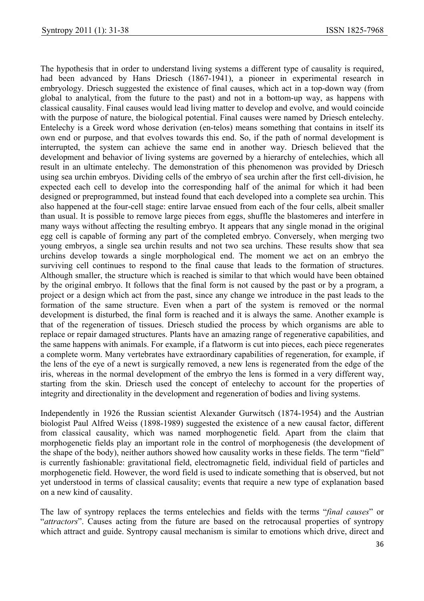The hypothesis that in order to understand living systems a different type of causality is required, had been advanced by Hans Driesch (1867-1941), a pioneer in experimental research in embryology. Driesch suggested the existence of final causes, which act in a top-down way (from global to analytical, from the future to the past) and not in a bottom-up way, as happens with classical causality. Final causes would lead living matter to develop and evolve, and would coincide with the purpose of nature, the biological potential. Final causes were named by Driesch entelechy. Entelechy is a Greek word whose derivation (en-telos) means something that contains in itself its own end or purpose, and that evolves towards this end. So, if the path of normal development is interrupted, the system can achieve the same end in another way. Driesch believed that the development and behavior of living systems are governed by a hierarchy of entelechies, which all result in an ultimate entelechy. The demonstration of this phenomenon was provided by Driesch using sea urchin embryos. Dividing cells of the embryo of sea urchin after the first cell-division, he expected each cell to develop into the corresponding half of the animal for which it had been designed or preprogrammed, but instead found that each developed into a complete sea urchin. This also happened at the four-cell stage: entire larvae ensued from each of the four cells, albeit smaller than usual. It is possible to remove large pieces from eggs, shuffle the blastomeres and interfere in many ways without affecting the resulting embryo. It appears that any single monad in the original egg cell is capable of forming any part of the completed embryo. Conversely, when merging two young embryos, a single sea urchin results and not two sea urchins. These results show that sea urchins develop towards a single morphological end. The moment we act on an embryo the surviving cell continues to respond to the final cause that leads to the formation of structures. Although smaller, the structure which is reached is similar to that which would have been obtained by the original embryo. It follows that the final form is not caused by the past or by a program, a project or a design which act from the past, since any change we introduce in the past leads to the formation of the same structure. Even when a part of the system is removed or the normal development is disturbed, the final form is reached and it is always the same. Another example is that of the regeneration of tissues. Driesch studied the process by which organisms are able to replace or repair damaged structures. Plants have an amazing range of regenerative capabilities, and the same happens with animals. For example, if a flatworm is cut into pieces, each piece regenerates a complete worm. Many vertebrates have extraordinary capabilities of regeneration, for example, if the lens of the eye of a newt is surgically removed, a new lens is regenerated from the edge of the iris, whereas in the normal development of the embryo the lens is formed in a very different way, starting from the skin. Driesch used the concept of entelechy to account for the properties of integrity and directionality in the development and regeneration of bodies and living systems.

Independently in 1926 the Russian scientist Alexander Gurwitsch (1874-1954) and the Austrian biologist Paul Alfred Weiss (1898-1989) suggested the existence of a new causal factor, different from classical causality, which was named morphogenetic field. Apart from the claim that morphogenetic fields play an important role in the control of morphogenesis (the development of the shape of the body), neither authors showed how causality works in these fields. The term "field" is currently fashionable: gravitational field, electromagnetic field, individual field of particles and morphogenetic field. However, the word field is used to indicate something that is observed, but not yet understood in terms of classical causality; events that require a new type of explanation based on a new kind of causality.

The law of syntropy replaces the terms entelechies and fields with the terms "*final causes*" or "*attractors*". Causes acting from the future are based on the retrocausal properties of syntropy which attract and guide. Syntropy causal mechanism is similar to emotions which drive, direct and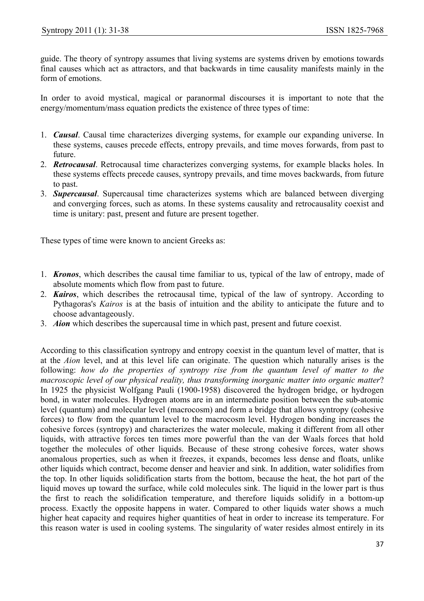guide. The theory of syntropy assumes that living systems are systems driven by emotions towards final causes which act as attractors, and that backwards in time causality manifests mainly in the form of emotions.

In order to avoid mystical, magical or paranormal discourses it is important to note that the energy/momentum/mass equation predicts the existence of three types of time:

- 1. *Causal*. Causal time characterizes diverging systems, for example our expanding universe. In these systems, causes precede effects, entropy prevails, and time moves forwards, from past to future.
- 2. *Retrocausal*. Retrocausal time characterizes converging systems, for example blacks holes. In these systems effects precede causes, syntropy prevails, and time moves backwards, from future to past.
- 3. *Supercausal*. Supercausal time characterizes systems which are balanced between diverging and converging forces, such as atoms. In these systems causality and retrocausality coexist and time is unitary: past, present and future are present together.

These types of time were known to ancient Greeks as:

- 1. *Kronos*, which describes the causal time familiar to us, typical of the law of entropy, made of absolute moments which flow from past to future.
- 2. *Kairos*, which describes the retrocausal time, typical of the law of syntropy. According to Pythagoras's *Kairos* is at the basis of intuition and the ability to anticipate the future and to choose advantageously.
- 3. *Aion* which describes the supercausal time in which past, present and future coexist.

According to this classification syntropy and entropy coexist in the quantum level of matter, that is at the *Aion* level, and at this level life can originate. The question which naturally arises is the following: how do the properties of syntropy rise from the quantum level of matter to the *macroscopic level of our physical reality, thus transforming inorganic matter into organic matter*? In 1925 the physicist Wolfgang Pauli (1900-1958) discovered the hydrogen bridge, or hydrogen bond, in water molecules. Hydrogen atoms are in an intermediate position between the sub-atomic level (quantum) and molecular level (macrocosm) and form a bridge that allows syntropy (cohesive forces) to flow from the quantum level to the macrocosm level. Hydrogen bonding increases the cohesive forces (syntropy) and characterizes the water molecule, making it different from all other liquids, with attractive forces ten times more powerful than the van der Waals forces that hold together the molecules of other liquids. Because of these strong cohesive forces, water shows anomalous properties, such as when it freezes, it expands, becomes less dense and floats, unlike other liquids which contract, become denser and heavier and sink. In addition, water solidifies from the top. In other liquids solidification starts from the bottom, because the heat, the hot part of the liquid moves up toward the surface, while cold molecules sink. The liquid in the lower part is thus the first to reach the solidification temperature, and therefore liquids solidify in a bottom-up process. Exactly the opposite happens in water. Compared to other liquids water shows a much higher heat capacity and requires higher quantities of heat in order to increase its temperature. For this reason water is used in cooling systems. The singularity of water resides almost entirely in its